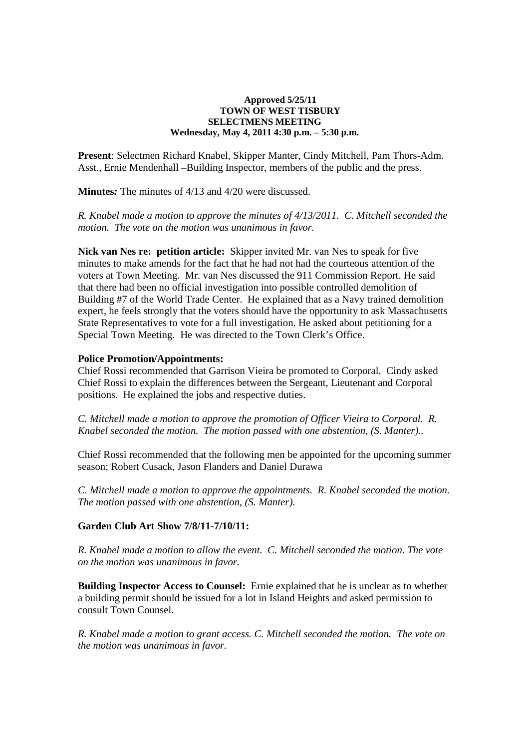## **Approved 5/25/11 TOWN OF WEST TISBURY SELECTMENS MEETING Wednesday, May 4, 2011 4:30 p.m. – 5:30 p.m.**

**Present**: Selectmen Richard Knabel, Skipper Manter, Cindy Mitchell, Pam Thors-Adm. Asst., Ernie Mendenhall –Building Inspector, members of the public and the press.

**Minutes***:* The minutes of 4/13 and 4/20 were discussed.

*R. Knabel made a motion to approve the minutes of 4/13/2011. C. Mitchell seconded the motion. The vote on the motion was unanimous in favor.* 

**Nick van Nes re: petition article:** Skipper invited Mr. van Nes to speak for five minutes to make amends for the fact that he had not had the courteous attention of the voters at Town Meeting. Mr. van Nes discussed the 911 Commission Report. He said that there had been no official investigation into possible controlled demolition of Building #7 of the World Trade Center. He explained that as a Navy trained demolition expert, he feels strongly that the voters should have the opportunity to ask Massachusetts State Representatives to vote for a full investigation. He asked about petitioning for a Special Town Meeting. He was directed to the Town Clerk's Office.

## **Police Promotion/Appointments:**

Chief Rossi recommended that Garrison Vieira be promoted to Corporal. Cindy asked Chief Rossi to explain the differences between the Sergeant, Lieutenant and Corporal positions. He explained the jobs and respective duties.

*C. Mitchell made a motion to approve the promotion of Officer Vieira to Corporal. R. Knabel seconded the motion. The motion passed with one abstention, (S. Manter)..* 

Chief Rossi recommended that the following men be appointed for the upcoming summer season; Robert Cusack, Jason Flanders and Daniel Durawa

*C. Mitchell made a motion to approve the appointments. R. Knabel seconded the motion. The motion passed with one abstention, (S. Manter).*

## **Garden Club Art Show 7/8/11-7/10/11:**

*R. Knabel made a motion to allow the event. C. Mitchell seconded the motion. The vote on the motion was unanimous in favor.* 

**Building Inspector Access to Counsel:** Ernie explained that he is unclear as to whether a building permit should be issued for a lot in Island Heights and asked permission to consult Town Counsel.

*R. Knabel made a motion to grant access. C. Mitchell seconded the motion. The vote on the motion was unanimous in favor.*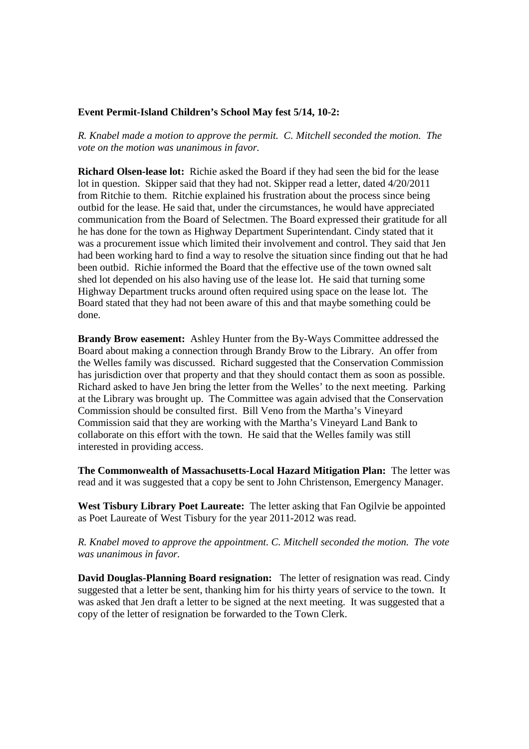## **Event Permit-Island Children's School May fest 5/14, 10-2:**

*R. Knabel made a motion to approve the permit. C. Mitchell seconded the motion. The vote on the motion was unanimous in favor.* 

**Richard Olsen-lease lot:** Richie asked the Board if they had seen the bid for the lease lot in question. Skipper said that they had not. Skipper read a letter, dated 4/20/2011 from Ritchie to them. Ritchie explained his frustration about the process since being outbid for the lease. He said that, under the circumstances, he would have appreciated communication from the Board of Selectmen. The Board expressed their gratitude for all he has done for the town as Highway Department Superintendant. Cindy stated that it was a procurement issue which limited their involvement and control. They said that Jen had been working hard to find a way to resolve the situation since finding out that he had been outbid. Richie informed the Board that the effective use of the town owned salt shed lot depended on his also having use of the lease lot. He said that turning some Highway Department trucks around often required using space on the lease lot. The Board stated that they had not been aware of this and that maybe something could be done.

**Brandy Brow easement:** Ashley Hunter from the By-Ways Committee addressed the Board about making a connection through Brandy Brow to the Library. An offer from the Welles family was discussed. Richard suggested that the Conservation Commission has jurisdiction over that property and that they should contact them as soon as possible. Richard asked to have Jen bring the letter from the Welles' to the next meeting. Parking at the Library was brought up. The Committee was again advised that the Conservation Commission should be consulted first. Bill Veno from the Martha's Vineyard Commission said that they are working with the Martha's Vineyard Land Bank to collaborate on this effort with the town. He said that the Welles family was still interested in providing access.

**The Commonwealth of Massachusetts-Local Hazard Mitigation Plan:** The letter was read and it was suggested that a copy be sent to John Christenson, Emergency Manager.

**West Tisbury Library Poet Laureate:** The letter asking that Fan Ogilvie be appointed as Poet Laureate of West Tisbury for the year 2011-2012 was read.

*R. Knabel moved to approve the appointment. C. Mitchell seconded the motion. The vote was unanimous in favor.* 

**David Douglas-Planning Board resignation:** The letter of resignation was read. Cindy suggested that a letter be sent, thanking him for his thirty years of service to the town. It was asked that Jen draft a letter to be signed at the next meeting. It was suggested that a copy of the letter of resignation be forwarded to the Town Clerk.